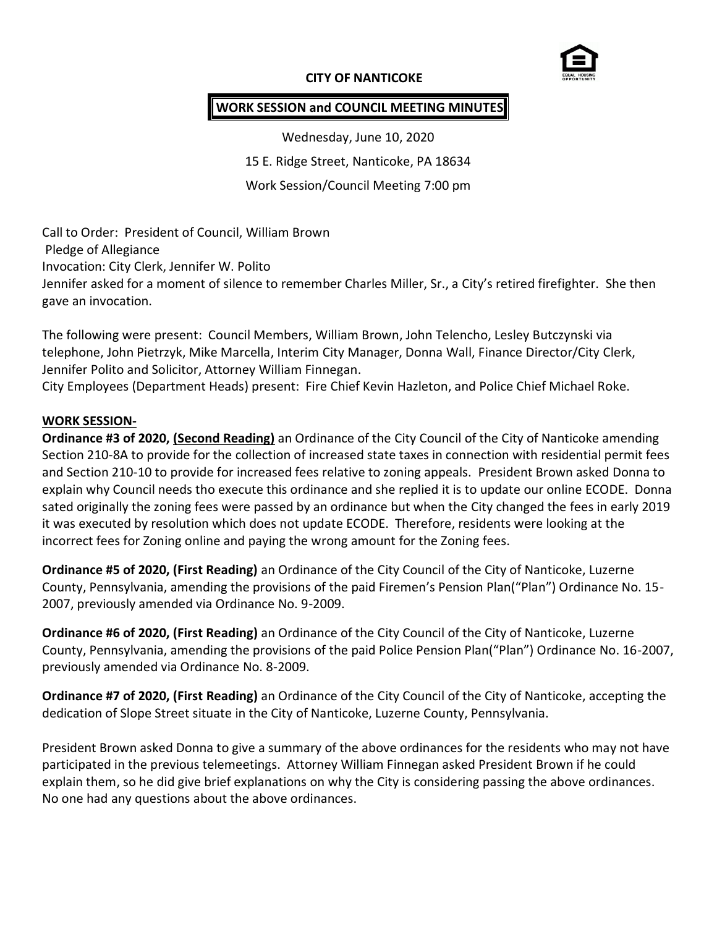#### **CITY OF NANTICOKE**



# **WORK SESSION and COUNCIL MEETING MINUTES**

Wednesday, June 10, 2020 15 E. Ridge Street, Nanticoke, PA 18634 Work Session/Council Meeting 7:00 pm

Call to Order: President of Council, William Brown Pledge of Allegiance Invocation: City Clerk, Jennifer W. Polito Jennifer asked for a moment of silence to remember Charles Miller, Sr., a City's retired firefighter. She then gave an invocation.

The following were present: Council Members, William Brown, John Telencho, Lesley Butczynski via telephone, John Pietrzyk, Mike Marcella, Interim City Manager, Donna Wall, Finance Director/City Clerk, Jennifer Polito and Solicitor, Attorney William Finnegan.

City Employees (Department Heads) present: Fire Chief Kevin Hazleton, and Police Chief Michael Roke.

#### **WORK SESSION-**

**Ordinance #3 of 2020, (Second Reading)** an Ordinance of the City Council of the City of Nanticoke amending Section 210-8A to provide for the collection of increased state taxes in connection with residential permit fees and Section 210-10 to provide for increased fees relative to zoning appeals. President Brown asked Donna to explain why Council needs tho execute this ordinance and she replied it is to update our online ECODE. Donna sated originally the zoning fees were passed by an ordinance but when the City changed the fees in early 2019 it was executed by resolution which does not update ECODE. Therefore, residents were looking at the incorrect fees for Zoning online and paying the wrong amount for the Zoning fees.

**Ordinance #5 of 2020, (First Reading)** an Ordinance of the City Council of the City of Nanticoke, Luzerne County, Pennsylvania, amending the provisions of the paid Firemen's Pension Plan("Plan") Ordinance No. 15- 2007, previously amended via Ordinance No. 9-2009.

**Ordinance #6 of 2020, (First Reading)** an Ordinance of the City Council of the City of Nanticoke, Luzerne County, Pennsylvania, amending the provisions of the paid Police Pension Plan("Plan") Ordinance No. 16-2007, previously amended via Ordinance No. 8-2009.

**Ordinance #7 of 2020, (First Reading)** an Ordinance of the City Council of the City of Nanticoke, accepting the dedication of Slope Street situate in the City of Nanticoke, Luzerne County, Pennsylvania.

President Brown asked Donna to give a summary of the above ordinances for the residents who may not have participated in the previous telemeetings. Attorney William Finnegan asked President Brown if he could explain them, so he did give brief explanations on why the City is considering passing the above ordinances. No one had any questions about the above ordinances.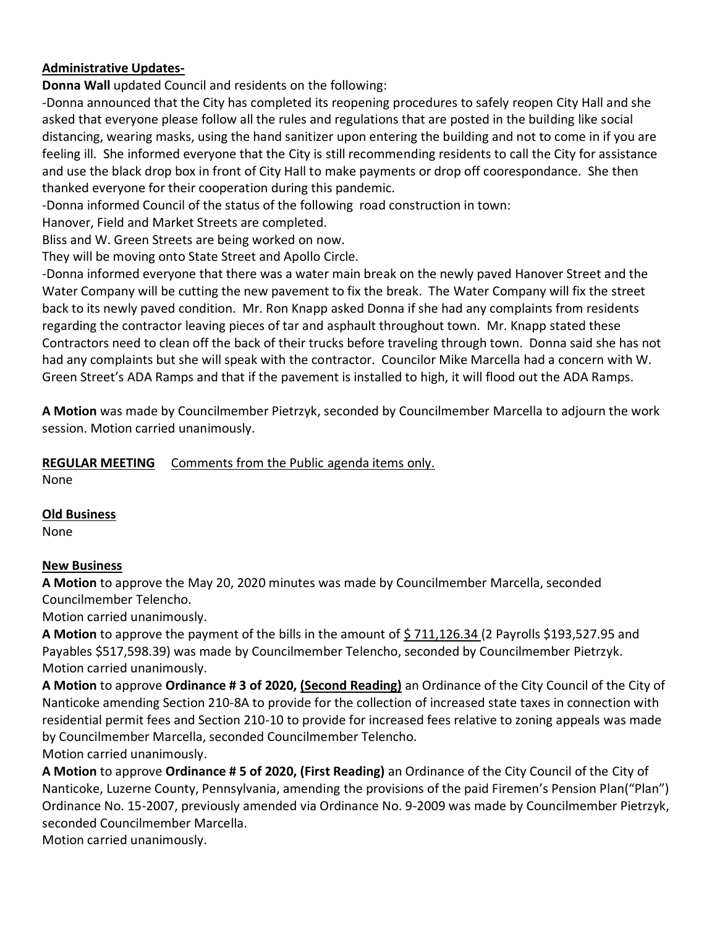# **Administrative Updates-**

**Donna Wall** updated Council and residents on the following:

-Donna announced that the City has completed its reopening procedures to safely reopen City Hall and she asked that everyone please follow all the rules and regulations that are posted in the building like social distancing, wearing masks, using the hand sanitizer upon entering the building and not to come in if you are feeling ill. She informed everyone that the City is still recommending residents to call the City for assistance and use the black drop box in front of City Hall to make payments or drop off coorespondance. She then thanked everyone for their cooperation during this pandemic.

-Donna informed Council of the status of the following road construction in town:

Hanover, Field and Market Streets are completed.

Bliss and W. Green Streets are being worked on now.

They will be moving onto State Street and Apollo Circle.

-Donna informed everyone that there was a water main break on the newly paved Hanover Street and the Water Company will be cutting the new pavement to fix the break. The Water Company will fix the street back to its newly paved condition. Mr. Ron Knapp asked Donna if she had any complaints from residents regarding the contractor leaving pieces of tar and asphault throughout town. Mr. Knapp stated these Contractors need to clean off the back of their trucks before traveling through town. Donna said she has not had any complaints but she will speak with the contractor. Councilor Mike Marcella had a concern with W. Green Street's ADA Ramps and that if the pavement is installed to high, it will flood out the ADA Ramps.

**A Motion** was made by Councilmember Pietrzyk, seconded by Councilmember Marcella to adjourn the work session. Motion carried unanimously.

# **REGULAR MEETING** Comments from the Public agenda items only.

None

# **Old Business**

None

# **New Business**

**A Motion** to approve the May 20, 2020 minutes was made by Councilmember Marcella, seconded Councilmember Telencho.

Motion carried unanimously.

**A Motion** to approve the payment of the bills in the amount of \$711,126.34 (2 Payrolls \$193,527.95 and Payables \$517,598.39) was made by Councilmember Telencho, seconded by Councilmember Pietrzyk. Motion carried unanimously.

**A Motion** to approve **Ordinance # 3 of 2020, (Second Reading)** an Ordinance of the City Council of the City of Nanticoke amending Section 210-8A to provide for the collection of increased state taxes in connection with residential permit fees and Section 210-10 to provide for increased fees relative to zoning appeals was made by Councilmember Marcella, seconded Councilmember Telencho.

Motion carried unanimously.

**A Motion** to approve **Ordinance # 5 of 2020, (First Reading)** an Ordinance of the City Council of the City of Nanticoke, Luzerne County, Pennsylvania, amending the provisions of the paid Firemen's Pension Plan("Plan") Ordinance No. 15-2007, previously amended via Ordinance No. 9-2009 was made by Councilmember Pietrzyk, seconded Councilmember Marcella.

Motion carried unanimously.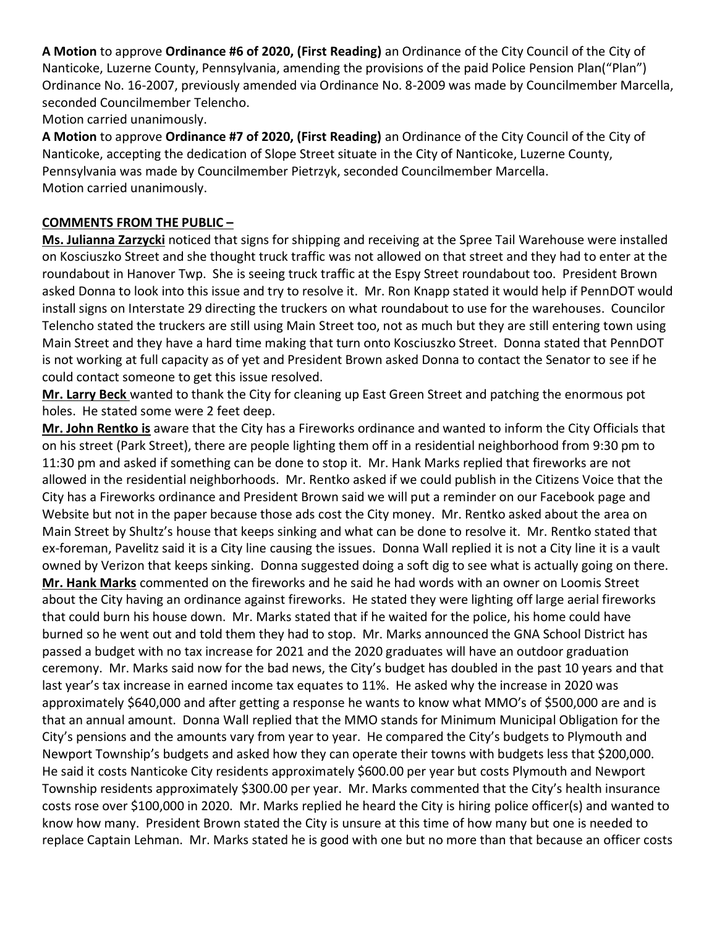**A Motion** to approve **Ordinance #6 of 2020, (First Reading)** an Ordinance of the City Council of the City of Nanticoke, Luzerne County, Pennsylvania, amending the provisions of the paid Police Pension Plan("Plan") Ordinance No. 16-2007, previously amended via Ordinance No. 8-2009 was made by Councilmember Marcella, seconded Councilmember Telencho.

Motion carried unanimously.

**A Motion** to approve **Ordinance #7 of 2020, (First Reading)** an Ordinance of the City Council of the City of Nanticoke, accepting the dedication of Slope Street situate in the City of Nanticoke, Luzerne County, Pennsylvania was made by Councilmember Pietrzyk, seconded Councilmember Marcella. Motion carried unanimously.

#### **COMMENTS FROM THE PUBLIC –**

**Ms. Julianna Zarzycki** noticed that signs for shipping and receiving at the Spree Tail Warehouse were installed on Kosciuszko Street and she thought truck traffic was not allowed on that street and they had to enter at the roundabout in Hanover Twp. She is seeing truck traffic at the Espy Street roundabout too. President Brown asked Donna to look into this issue and try to resolve it. Mr. Ron Knapp stated it would help if PennDOT would install signs on Interstate 29 directing the truckers on what roundabout to use for the warehouses. Councilor Telencho stated the truckers are still using Main Street too, not as much but they are still entering town using Main Street and they have a hard time making that turn onto Kosciuszko Street. Donna stated that PennDOT is not working at full capacity as of yet and President Brown asked Donna to contact the Senator to see if he could contact someone to get this issue resolved.

**Mr. Larry Beck** wanted to thank the City for cleaning up East Green Street and patching the enormous pot holes. He stated some were 2 feet deep.

**Mr. John Rentko is** aware that the City has a Fireworks ordinance and wanted to inform the City Officials that on his street (Park Street), there are people lighting them off in a residential neighborhood from 9:30 pm to 11:30 pm and asked if something can be done to stop it. Mr. Hank Marks replied that fireworks are not allowed in the residential neighborhoods. Mr. Rentko asked if we could publish in the Citizens Voice that the City has a Fireworks ordinance and President Brown said we will put a reminder on our Facebook page and Website but not in the paper because those ads cost the City money. Mr. Rentko asked about the area on Main Street by Shultz's house that keeps sinking and what can be done to resolve it. Mr. Rentko stated that ex-foreman, Pavelitz said it is a City line causing the issues. Donna Wall replied it is not a City line it is a vault owned by Verizon that keeps sinking. Donna suggested doing a soft dig to see what is actually going on there. **Mr. Hank Marks** commented on the fireworks and he said he had words with an owner on Loomis Street about the City having an ordinance against fireworks. He stated they were lighting off large aerial fireworks that could burn his house down. Mr. Marks stated that if he waited for the police, his home could have burned so he went out and told them they had to stop. Mr. Marks announced the GNA School District has passed a budget with no tax increase for 2021 and the 2020 graduates will have an outdoor graduation ceremony. Mr. Marks said now for the bad news, the City's budget has doubled in the past 10 years and that last year's tax increase in earned income tax equates to 11%. He asked why the increase in 2020 was approximately \$640,000 and after getting a response he wants to know what MMO's of \$500,000 are and is that an annual amount. Donna Wall replied that the MMO stands for Minimum Municipal Obligation for the City's pensions and the amounts vary from year to year. He compared the City's budgets to Plymouth and Newport Township's budgets and asked how they can operate their towns with budgets less that \$200,000. He said it costs Nanticoke City residents approximately \$600.00 per year but costs Plymouth and Newport Township residents approximately \$300.00 per year. Mr. Marks commented that the City's health insurance costs rose over \$100,000 in 2020. Mr. Marks replied he heard the City is hiring police officer(s) and wanted to know how many. President Brown stated the City is unsure at this time of how many but one is needed to replace Captain Lehman. Mr. Marks stated he is good with one but no more than that because an officer costs